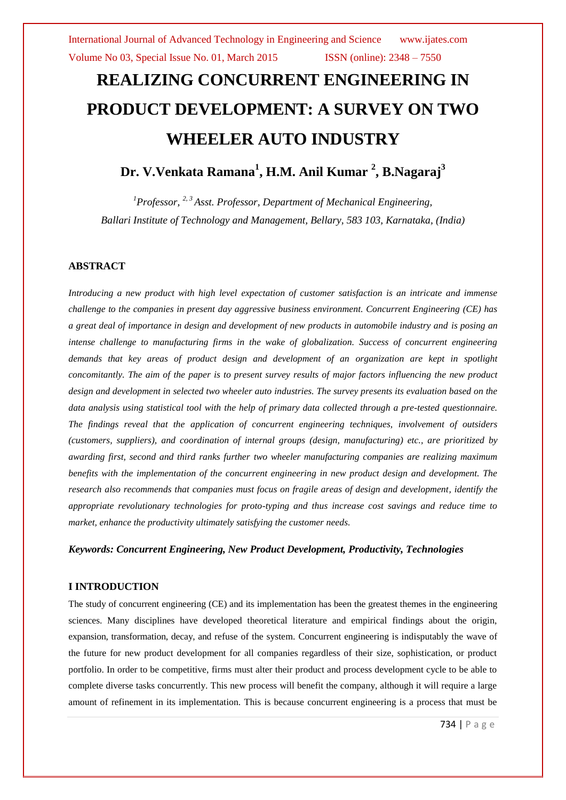# **REALIZING CONCURRENT ENGINEERING IN PRODUCT DEVELOPMENT: A SURVEY ON TWO WHEELER AUTO INDUSTRY**

## **Dr. V.Venkata Ramana<sup>1</sup> , H.M. Anil Kumar <sup>2</sup> , B.Nagaraj<sup>3</sup>**

*<sup>1</sup>Professor, 2, 3 Asst. Professor, Department of Mechanical Engineering, Ballari Institute of Technology and Management, Bellary, 583 103, Karnataka, (India)*

### **ABSTRACT**

*Introducing a new product with high level expectation of customer satisfaction is an intricate and immense challenge to the companies in present day aggressive business environment. Concurrent Engineering (CE) has a great deal of importance in design and development of new products in automobile industry and is posing an intense challenge to manufacturing firms in the wake of globalization. Success of concurrent engineering demands that key areas of product design and development of an organization are kept in spotlight concomitantly. The aim of the paper is to present survey results of major factors influencing the new product design and development in selected two wheeler auto industries. The survey presents its evaluation based on the data analysis using statistical tool with the help of primary data collected through a pre-tested questionnaire. The findings reveal that the application of concurrent engineering techniques, involvement of outsiders (customers, suppliers), and coordination of internal groups (design, manufacturing) etc., are prioritized by awarding first, second and third ranks further two wheeler manufacturing companies are realizing maximum benefits with the implementation of the concurrent engineering in new product design and development. The research also recommends that companies must focus on fragile areas of design and development, identify the appropriate revolutionary technologies for proto-typing and thus increase cost savings and reduce time to market, enhance the productivity ultimately satisfying the customer needs.*

### *Keywords: Concurrent Engineering, New Product Development, Productivity, Technologies*

### **I INTRODUCTION**

The study of concurrent engineering (CE) and its implementation has been the greatest themes in the engineering sciences. Many disciplines have developed theoretical literature and empirical findings about the origin, expansion, transformation, decay, and refuse of the system. Concurrent engineering is indisputably the wave of the future for new product development for all companies regardless of their size, sophistication, or product portfolio. In order to be competitive, firms must alter their product and process development cycle to be able to complete diverse tasks concurrently. This new process will benefit the company, although it will require a large amount of refinement in its implementation. This is because concurrent engineering is a process that must be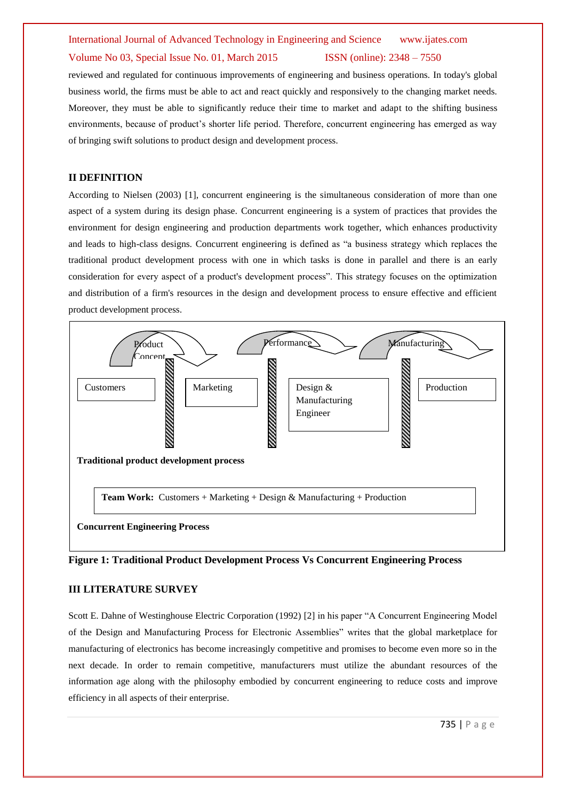reviewed and regulated for continuous improvements of engineering and business operations. In today's global business world, the firms must be able to act and react quickly and responsively to the changing market needs. Moreover, they must be able to significantly reduce their time to market and adapt to the shifting business environments, because of product's shorter life period. Therefore, concurrent engineering has emerged as way of bringing swift solutions to product design and development process.

### **II DEFINITION**

According to Nielsen (2003) [1], concurrent engineering is the simultaneous consideration of more than one aspect of a system during its design phase. Concurrent engineering is a system of practices that provides the environment for design engineering and production departments work together, which enhances productivity and leads to high-class designs. Concurrent engineering is defined as "a business strategy which replaces the traditional product development process with one in which tasks is done in parallel and there is an early consideration for every aspect of a product's development process". This strategy focuses on the optimization and distribution of a firm's resources in the design and development process to ensure effective and efficient product development process.



**Figure 1: Traditional Product Development Process Vs Concurrent Engineering Process**

### **III LITERATURE SURVEY**

Scott E. Dahne of Westinghouse Electric Corporation (1992) [2] in his paper "A Concurrent Engineering Model of the Design and Manufacturing Process for Electronic Assemblies" writes that the global marketplace for manufacturing of electronics has become increasingly competitive and promises to become even more so in the next decade. In order to remain competitive, manufacturers must utilize the abundant resources of the information age along with the philosophy embodied by concurrent engineering to reduce costs and improve efficiency in all aspects of their enterprise.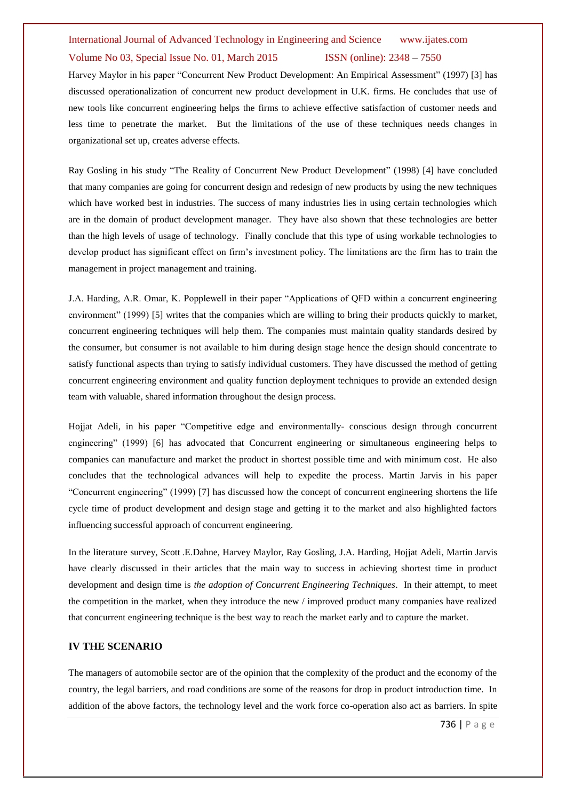Harvey Maylor in his paper "Concurrent New Product Development: An Empirical Assessment" (1997) [3] has discussed operationalization of concurrent new product development in U.K. firms. He concludes that use of new tools like concurrent engineering helps the firms to achieve effective satisfaction of customer needs and less time to penetrate the market. But the limitations of the use of these techniques needs changes in organizational set up, creates adverse effects.

Ray Gosling in his study "The Reality of Concurrent New Product Development" (1998) [4] have concluded that many companies are going for concurrent design and redesign of new products by using the new techniques which have worked best in industries. The success of many industries lies in using certain technologies which are in the domain of product development manager. They have also shown that these technologies are better than the high levels of usage of technology. Finally conclude that this type of using workable technologies to develop product has significant effect on firm"s investment policy. The limitations are the firm has to train the management in project management and training.

J.A. Harding, A.R. Omar, K. Popplewell in their paper "Applications of QFD within a concurrent engineering environment" (1999) [5] writes that the companies which are willing to bring their products quickly to market, concurrent engineering techniques will help them. The companies must maintain quality standards desired by the consumer, but consumer is not available to him during design stage hence the design should concentrate to satisfy functional aspects than trying to satisfy individual customers. They have discussed the method of getting concurrent engineering environment and quality function deployment techniques to provide an extended design team with valuable, shared information throughout the design process.

Hojjat Adeli, in his paper "Competitive edge and environmentally- conscious design through concurrent engineering" (1999) [6] has advocated that Concurrent engineering or simultaneous engineering helps to companies can manufacture and market the product in shortest possible time and with minimum cost. He also concludes that the technological advances will help to expedite the process. Martin Jarvis in his paper "Concurrent engineering" (1999) [7] has discussed how the concept of concurrent engineering shortens the life cycle time of product development and design stage and getting it to the market and also highlighted factors influencing successful approach of concurrent engineering.

In the literature survey, Scott .E.Dahne, Harvey Maylor, Ray Gosling, J.A. Harding, Hojjat Adeli, Martin Jarvis have clearly discussed in their articles that the main way to success in achieving shortest time in product development and design time is *the adoption of Concurrent Engineering Techniques*.In their attempt, to meet the competition in the market, when they introduce the new / improved product many companies have realized that concurrent engineering technique is the best way to reach the market early and to capture the market.

#### **IV THE SCENARIO**

The managers of automobile sector are of the opinion that the complexity of the product and the economy of the country, the legal barriers, and road conditions are some of the reasons for drop in product introduction time. In addition of the above factors, the technology level and the work force co-operation also act as barriers. In spite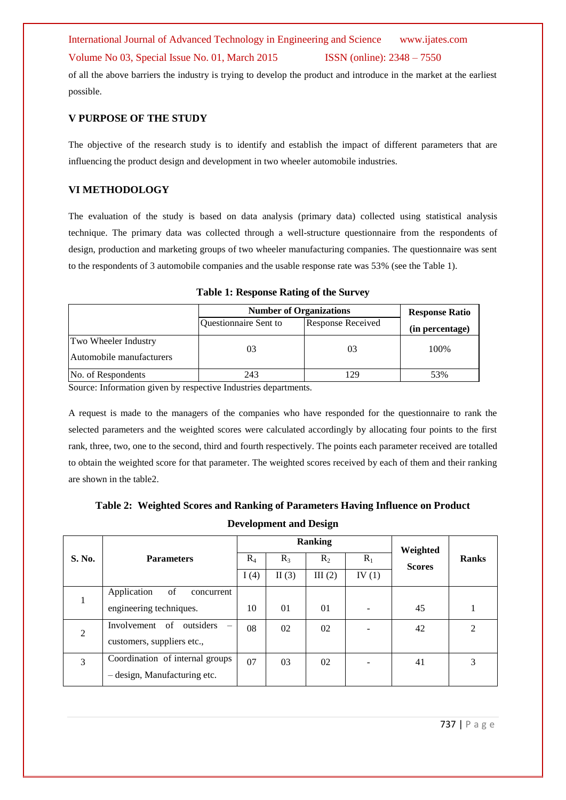of all the above barriers the industry is trying to develop the product and introduce in the market at the earliest possible.

### **V PURPOSE OF THE STUDY**

The objective of the research study is to identify and establish the impact of different parameters that are influencing the product design and development in two wheeler automobile industries.

### **VI METHODOLOGY**

The evaluation of the study is based on data analysis (primary data) collected using statistical analysis technique. The primary data was collected through a well-structure questionnaire from the respondents of design, production and marketing groups of two wheeler manufacturing companies. The questionnaire was sent to the respondents of 3 automobile companies and the usable response rate was 53% (see the Table 1).

|                          | <b>Number of Organizations</b> | <b>Response Ratio</b> |                 |  |
|--------------------------|--------------------------------|-----------------------|-----------------|--|
|                          | Questionnaire Sent to          | Response Received     | (in percentage) |  |
| Two Wheeler Industry     | 03                             | 03                    | 100%            |  |
| Automobile manufacturers |                                |                       |                 |  |
| No. of Respondents       | 243                            | 29                    | 53%             |  |

**Table 1: Response Rating of the Survey**

Source: Information given by respective Industries departments.

A request is made to the managers of the companies who have responded for the questionnaire to rank the selected parameters and the weighted scores were calculated accordingly by allocating four points to the first rank, three, two, one to the second, third and fourth respectively. The points each parameter received are totalled to obtain the weighted score for that parameter. The weighted scores received by each of them and their ranking are shown in the table2.

**Table 2: Weighted Scores and Ranking of Parameters Having Influence on Product Development and Design**

|        | <b>Parameters</b>               | <b>Ranking</b> |          |        |          | Weighted      |                |
|--------|---------------------------------|----------------|----------|--------|----------|---------------|----------------|
| S. No. |                                 | $R_4$          | $R_3$    | $R_2$  | $R_1$    | <b>Scores</b> | <b>Ranks</b>   |
|        |                                 | I(4)           | II $(3)$ | III(2) | IV $(1)$ |               |                |
|        | of<br>Application<br>concurrent |                |          |        |          |               |                |
|        | engineering techniques.         | 10             | 01       | 01     | ۰        | 45            |                |
| 2      | Involvement of<br>outsiders     | 08             | 02       | 02     |          | 42            | $\overline{2}$ |
|        | customers, suppliers etc.,      |                |          |        |          |               |                |
| 3      | Coordination of internal groups | 07             | 03       | 02     |          | 41            | 3              |
|        | - design, Manufacturing etc.    |                |          |        |          |               |                |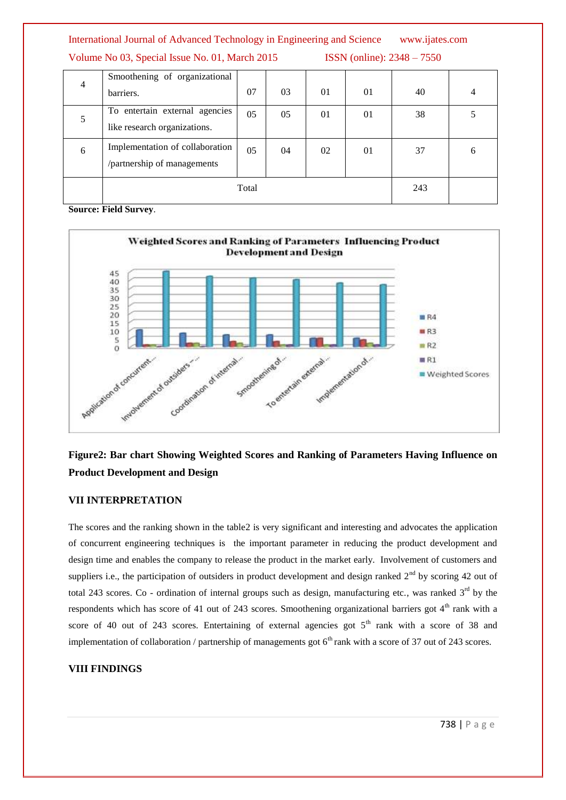International Journal of Advanced Technology in Engineering and Science www.ijates.com

Volume No 03, Special Issue No. 01, March 2015 ISSN (online): 2348 – 7550

|                | Smoothening of organizational   |    |    |    |     |    |   |
|----------------|---------------------------------|----|----|----|-----|----|---|
| $\overline{4}$ | barriers.                       | 07 | 03 | 01 | 01  | 40 | 4 |
| 5              | To entertain external agencies  | 05 | 05 | 01 | 01  | 38 |   |
|                | like research organizations.    |    |    |    |     |    |   |
| 6              | Implementation of collaboration | 05 | 04 | 02 | 01  | 37 | 6 |
|                | /partnership of managements     |    |    |    |     |    |   |
|                | Total                           |    |    |    | 243 |    |   |

**Source: Field Survey**.



### **Figure2: Bar chart Showing Weighted Scores and Ranking of Parameters Having Influence on Product Development and Design**

### **VII INTERPRETATION**

The scores and the ranking shown in the table2 is very significant and interesting and advocates the application of concurrent engineering techniques is the important parameter in reducing the product development and design time and enables the company to release the product in the market early. Involvement of customers and suppliers i.e., the participation of outsiders in product development and design ranked  $2<sup>nd</sup>$  by scoring 42 out of total 243 scores. Co - ordination of internal groups such as design, manufacturing etc., was ranked  $3<sup>rd</sup>$  by the respondents which has score of 41 out of 243 scores. Smoothening organizational barriers got  $4<sup>th</sup>$  rank with a score of 40 out of 243 scores. Entertaining of external agencies got  $5<sup>th</sup>$  rank with a score of 38 and implementation of collaboration / partnership of managements got  $6<sup>th</sup>$  rank with a score of 37 out of 243 scores.

### **VIII FINDINGS**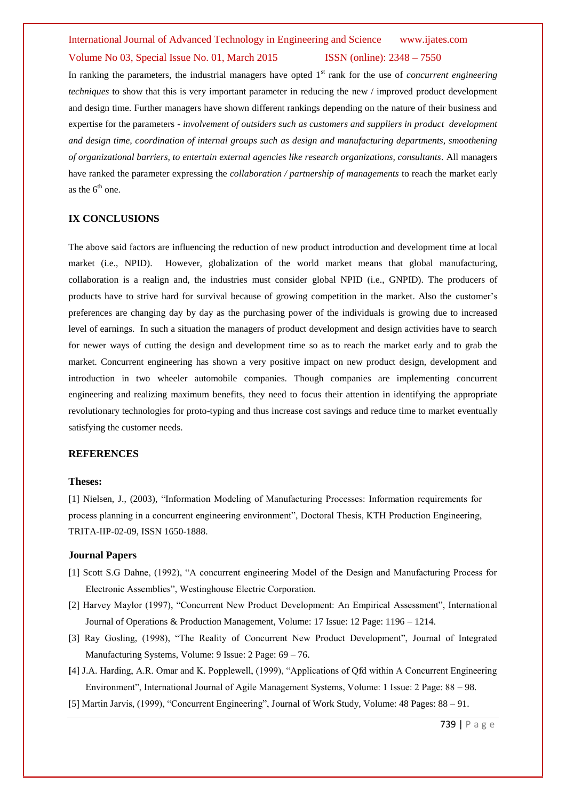In ranking the parameters, the industrial managers have opted  $1<sup>st</sup>$  rank for the use of *concurrent engineering techniques* to show that this is very important parameter in reducing the new / improved product development and design time. Further managers have shown different rankings depending on the nature of their business and expertise for the parameters - *involvement of outsiders such as customers and suppliers in product development and design time, coordination of internal groups such as design and manufacturing departments, smoothening of organizational barriers, to entertain external agencies like research organizations, consultants.* All managers have ranked the parameter expressing the *collaboration / partnership of managements* to reach the market early as the  $6<sup>th</sup>$  one.

### **IX CONCLUSIONS**

The above said factors are influencing the reduction of new product introduction and development time at local market (i.e., NPID). However, globalization of the world market means that global manufacturing, collaboration is a realign and, the industries must consider global NPID (i.e., GNPID). The producers of products have to strive hard for survival because of growing competition in the market. Also the customer"s preferences are changing day by day as the purchasing power of the individuals is growing due to increased level of earnings. In such a situation the managers of product development and design activities have to search for newer ways of cutting the design and development time so as to reach the market early and to grab the market. Concurrent engineering has shown a very positive impact on new product design, development and introduction in two wheeler automobile companies. Though companies are implementing concurrent engineering and realizing maximum benefits, they need to focus their attention in identifying the appropriate revolutionary technologies for proto-typing and thus increase cost savings and reduce time to market eventually satisfying the customer needs.

#### **REFERENCES**

#### **Theses:**

[1] Nielsen, J., (2003), "Information Modeling of Manufacturing Processes: Information requirements for process planning in a concurrent engineering environment", Doctoral Thesis, KTH Production Engineering, TRITA-IIP-02-09, ISSN 1650-1888.

#### **Journal Papers**

- [1] Scott S.G Dahne, (1992), "A concurrent engineering Model of the Design and Manufacturing Process for Electronic Assemblies", Westinghouse Electric Corporation.
- [2] Harvey Maylor (1997), "Concurrent New Product Development: An Empirical Assessment", International Journal of Operations & Production Management, Volume: 17 Issue: 12 Page: 1196 – 1214.
- [3] Ray Gosling, (1998), "The Reality of Concurrent New Product Development", Journal of Integrated Manufacturing Systems, Volume: 9 Issue: 2 Page: 69 – 76.
- **[**4] J.A. Harding, A.R. Omar and K. Popplewell, (1999), "Applications of Qfd within A Concurrent Engineering Environment", International Journal of Agile Management Systems, Volume: 1 Issue: 2 Page: 88 – 98.
- [5] Martin Jarvis, (1999), "Concurrent Engineering", Journal of Work Study, Volume: 48 Pages: 88 91.